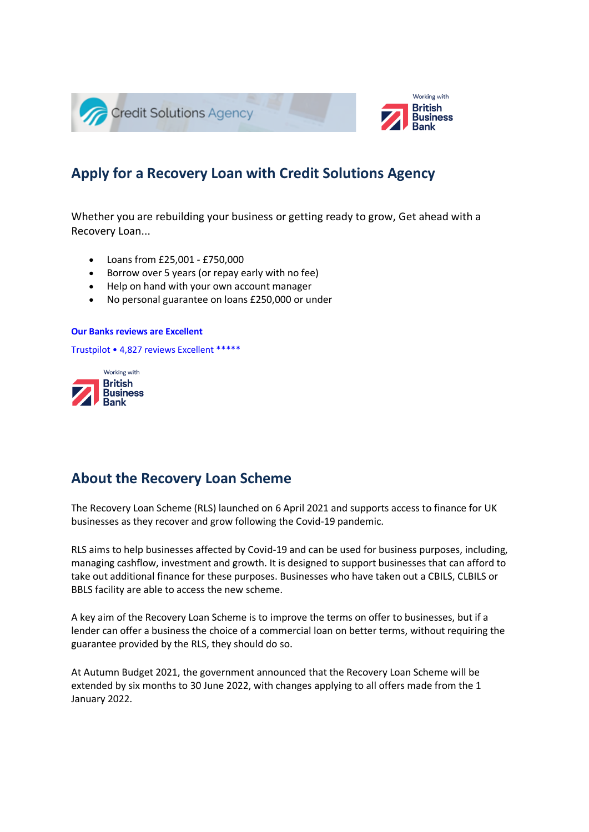

# **Apply for a Recovery Loan with Credit Solutions Agency**

Whether you are rebuilding your business or getting ready to grow, Get ahead with a Recovery Loan...

- Loans from £25,001 £750,000
- Borrow over 5 years (or repay early with no fee)
- Help on hand with your own account manager
- No personal guarantee on loans £250,000 or under

#### **[Our Banks reviews are Excellent](https://uk.trustpilot.com/review/iwoca.co.uk)**

Trustpilot • 4,827 reviews [Excellent \\*\\*\\*\\*\\*](https://uk.trustpilot.com/review/iwoca.co.uk)



## **About the Recovery Loan Scheme**

The Recovery Loan Scheme (RLS) launched on 6 April 2021 and supports access to finance for UK businesses as they recover and grow following the Covid-19 pandemic.

RLS aims to help businesses affected by Covid-19 and can be used for business purposes, including, managing cashflow, investment and growth. It is designed to support businesses that can afford to take out additional finance for these purposes. Businesses who have taken out a CBILS, CLBILS or BBLS facility are able to access the new scheme.

A key aim of the Recovery Loan Scheme is to improve the terms on offer to businesses, but if a lender can offer a business the choice of a commercial loan on better terms, without requiring the guarantee provided by the RLS, they should do so.

At Autumn Budget 2021, the government announced that the Recovery Loan Scheme will be extended by six months to 30 June 2022, with changes applying to all offers made from the 1 January 2022.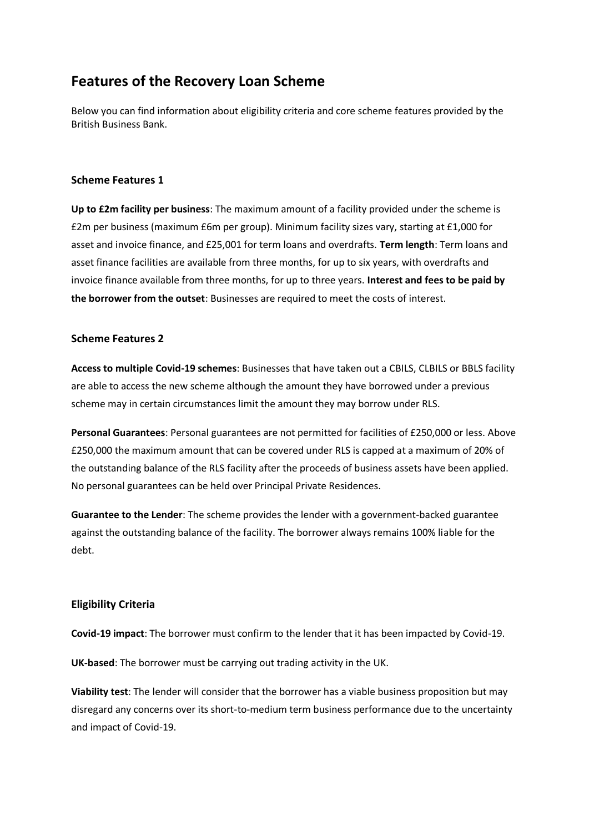# **Features of the Recovery Loan Scheme**

Below you can find information about eligibility criteria and core scheme features provided by the British Business Bank.

#### **Scheme Features 1**

**Up to £2m facility per business**: The maximum amount of a facility provided under the scheme is £2m per business (maximum £6m per group). Minimum facility sizes vary, starting at £1,000 for asset and invoice finance, and £25,001 for term loans and overdrafts. **Term length**: Term loans and asset finance facilities are available from three months, for up to six years, with overdrafts and invoice finance available from three months, for up to three years. **Interest and fees to be paid by the borrower from the outset**: Businesses are required to meet the costs of interest.

#### **Scheme Features 2**

**Access to multiple Covid-19 schemes**: Businesses that have taken out a CBILS, CLBILS or BBLS facility are able to access the new scheme although the amount they have borrowed under a previous scheme may in certain circumstances limit the amount they may borrow under RLS.

**Personal Guarantees**: Personal guarantees are not permitted for facilities of £250,000 or less. Above £250,000 the maximum amount that can be covered under RLS is capped at a maximum of 20% of the outstanding balance of the RLS facility after the proceeds of business assets have been applied. No personal guarantees can be held over Principal Private Residences.

**Guarantee to the Lender**: The scheme provides the lender with a government-backed guarantee against the outstanding balance of the facility. The borrower always remains 100% liable for the debt.

### **Eligibility Criteria**

**Covid-19 impact**: The borrower must confirm to the lender that it has been impacted by Covid-19.

**UK-based**: The borrower must be carrying out trading activity in the UK.

**Viability test**: The lender will consider that the borrower has a viable business proposition but may disregard any concerns over its short-to-medium term business performance due to the uncertainty and impact of Covid-19.